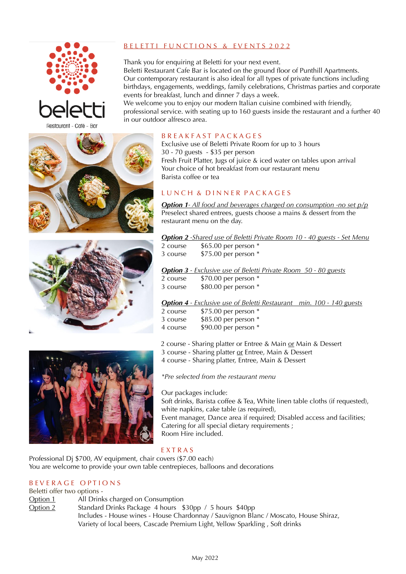

# B E L E TT I FUNCTIONS & EVENTS 2022

Thank you for enquiring at Beletti for your next event. Beletti Restaurant Cafe Bar is located on the ground floor of Punthill Apartments. Our contemporary restaurant is also ideal for all types of private functions including birthdays, engagements, weddings, family celebrations, Christmas parties and corporate events for breakfast, lunch and dinner 7 days a week.

We welcome you to enjoy our modern Italian cuisine combined with friendly. professional service. with seating up to 160 guests inside the restaurant and a further 40 in our outdoor alfresco area.

## B R E A K F A S T P A C K A G E S

Exclusive use of Beletti Private Room for up to 3 hours 30 - 70 guests - \$35 per person Fresh Fruit Platter, Jugs of juice & iced water on tables upon arrival Your choice of hot breakfast from our restaurant menu Barista coffee or tea

# L U N C H & D I N N E R P A C K A G E S

*Option 1- All food and beverages charged on consumption -no set p/p* Preselect shared entrees, guests choose a mains & dessert from the restaurant menu on the day.

*Option 2 -Shared use of Beletti Private Room 10 - 40 guests - Set Menu*

2 course \$65.00 per person \* 3 course \$75.00 per person \*

*Option 3 - Exclusive use of Beletti Private Room 50 - 80 guests* 

| 2 course | \$70.00 per person * |
|----------|----------------------|
| 3 course | \$80.00 per person * |

### *Option 4 - Exclusive use of Beletti Restaurant min. 100 - 140 guests*

| 2 course | \$75.00 per person * |
|----------|----------------------|
| 3 course | \$85.00 per person * |
| 4 course | \$90.00 per person * |

2 course - Sharing platter or Entree & Main or Main & Dessert

3 course - Sharing platter or Entree, Main & Dessert

4 course - Sharing platter, Entree, Main & Dessert

*\*Pre selected from the restaurant menu* 

Our packages include: Soft drinks, Barista coffee & Tea, White linen table cloths (if requested), white napkins, cake table (as required). Event manager, Dance area if required; Disabled access and facilities; Catering for all special dietary requirements ; Room Hire included.

### E X T R A S

Professional Dj \$700, AV equipment, chair covers (\$7.00 each) You are welcome to provide your own table centrepieces, balloons and decorations

### B EVERAGE OPTIONS

Beletti offer two options - Option 1 All Drinks charged on Consumption Option 2 Standard Drinks Package 4 hours \$30pp / 5 hours \$40pp Includes - House wines - House Chardonnay / Sauvignon Blanc / Moscato, House Shiraz, Variety of local beers, Cascade Premium Light, Yellow Sparkling , Soft drinks

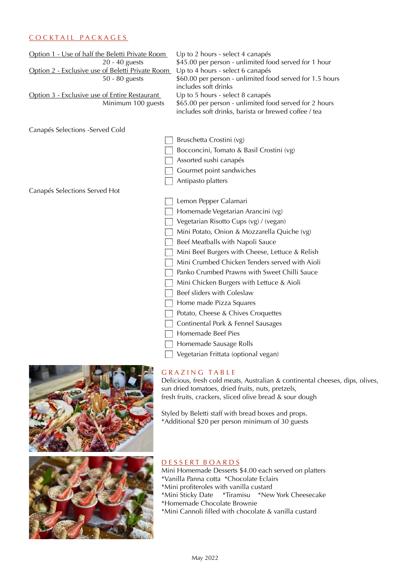## C O C K T A I L P A C K A G E S

| Option 1 - Use of half the Beletti Private Room  | Up to 2 hours - select 4 canapés                                                 |  |
|--------------------------------------------------|----------------------------------------------------------------------------------|--|
| 20 - 40 guests                                   | \$45.00 per person - unlimited food served for 1 hour                            |  |
| Option 2 - Exclusive use of Beletti Private Room | Up to 4 hours - select 6 canapés                                                 |  |
| 50 - 80 guests                                   | \$60.00 per person - unlimited food served for 1.5 hours<br>includes soft drinks |  |
| Option 3 - Exclusive use of Entire Restaurant    | Up to 5 hours - select 8 canapés                                                 |  |
| Minimum 100 guests                               | \$65.00 per person - unlimited food served for 2 hours                           |  |
|                                                  | includes soft drinks, barista or brewed coffee / tea                             |  |
| Canapés Selections - Served Cold                 |                                                                                  |  |
|                                                  | Bruschetta Crostini (vg)                                                         |  |
|                                                  | Bocconcini, Tomato & Basil Crostini (vg)                                         |  |
|                                                  | Assorted sushi canapés                                                           |  |
|                                                  | Gourmet point sandwiches                                                         |  |
|                                                  | Antipasto platters                                                               |  |
| Canapés Selections Served Hot                    |                                                                                  |  |
|                                                  | Lemon Pepper Calamari                                                            |  |
|                                                  | Homemade Vegetarian Arancini (vg)                                                |  |
|                                                  | Vegetarian Risotto Cups (vg) / (vegan)                                           |  |
|                                                  | Mini Potato, Onion & Mozzarella Quiche (vg)                                      |  |
|                                                  | Beef Meatballs with Napoli Sauce                                                 |  |
|                                                  | Mini Beef Burgers with Cheese, Lettuce & Relish                                  |  |
|                                                  | Mini Crumbed Chicken Tenders served with Aioli                                   |  |
|                                                  | Panko Crumbed Prawns with Sweet Chilli Sauce                                     |  |
|                                                  | Mini Chicken Burgers with Lettuce & Aioli                                        |  |
|                                                  | Beef sliders with Coleslaw                                                       |  |
|                                                  | Home made Pizza Squares                                                          |  |
|                                                  | Potato, Cheese & Chives Croquettes                                               |  |
|                                                  | Continental Pork & Fennel Sausages                                               |  |
|                                                  | Homemade Beef Pies                                                               |  |
|                                                  | Homemade Sausage Rolls                                                           |  |
|                                                  | Vegetarian Frittata (optional vegan)                                             |  |
|                                                  |                                                                                  |  |

### GRAZING TABLE

Delicious, fresh cold meats, Australian & continental cheeses, dips, olives, sun dried tomatoes, dried fruits, nuts, pretzels, fresh fruits, crackers, sliced olive bread & sour dough

Styled by Beletti staff with bread boxes and props. \*Additional \$20 per person minimum of 30 guests





## D E S S E R T B O A R D S

Mini Homemade Desserts \$4.00 each served on platters \*Vanilla Panna cotta \*Chocolate Eclairs

- \*Mini profiteroles with vanilla custard
- \*Mini Sticky Date \*Tiramisu \*New York Cheesecake
- \*Homemade Chocolate Brownie
- \*Mini Cannoli filled with chocolate & vanilla custard